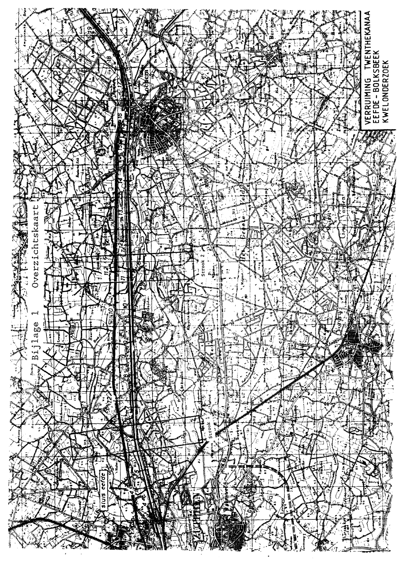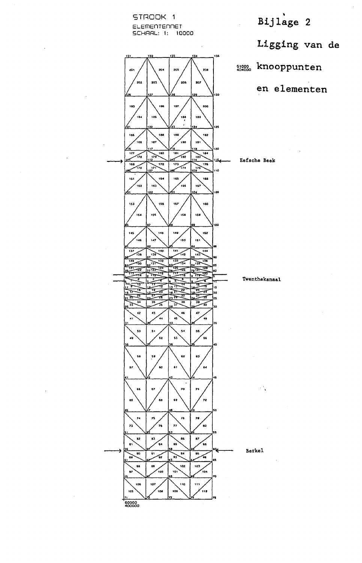

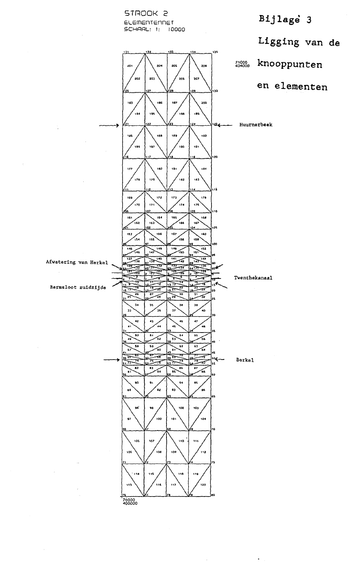

aos

## Bijlage 3

Ligging van de





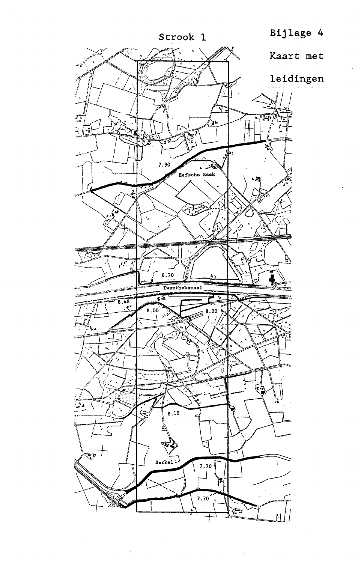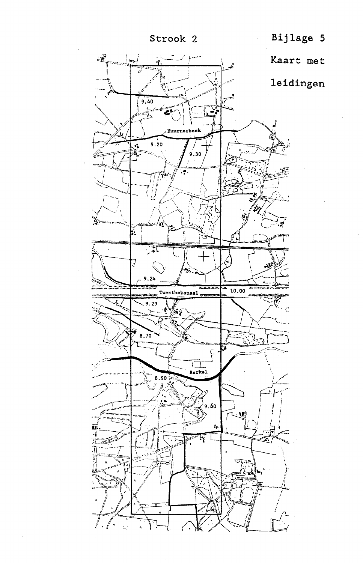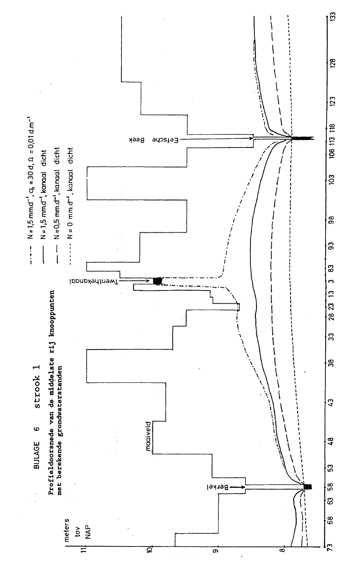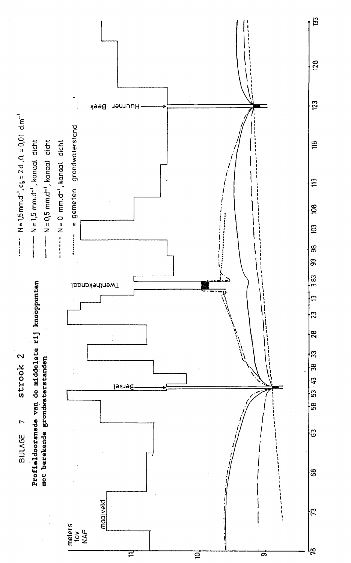